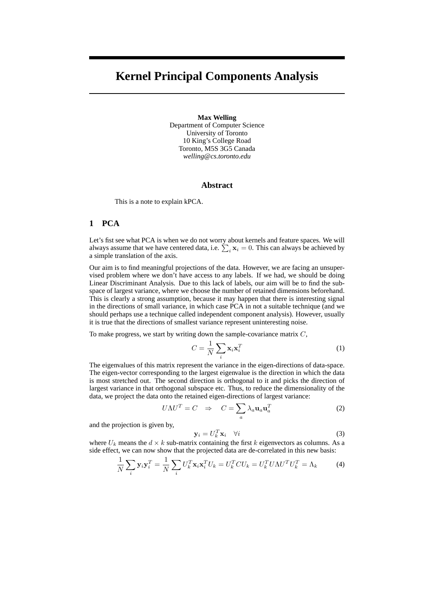## **Kernel Principal Components Analysis**

**Max Welling** Department of Computer Science University of Toronto 10 King's College Road Toronto, M5S 3G5 Canada *welling@cs.toronto.edu*

## **Abstract**

This is a note to explain kPCA.

## **1 PCA**

Let's fist see what PCA is when we do not worry about kernels and feature spaces. We will Let's fist see what PCA is when we do not worry about kernels and feature spaces. We will<br>always assume that we have centered data, i.e.  $\sum_i x_i = 0$ . This can always be achieved by a simple translation of the axis.

Our aim is to find meaningful projections of the data. However, we are facing an unsupervised problem where we don't have access to any labels. If we had, we should be doing Linear Discriminant Analysis. Due to this lack of labels, our aim will be to find the subspace of largest variance, where we choose the number of retained dimensions beforehand. This is clearly a strong assumption, because it may happen that there is interesting signal in the directions of small variance, in which case PCA in not a suitable technique (and we should perhaps use a technique called independent component analysis). However, usually it is true that the directions of smallest variance represent uninteresting noise.

To make progress, we start by writing down the sample-covariance matrix  $C$ ,

 $y_i$ 

$$
C = \frac{1}{N} \sum_{i} \mathbf{x}_i \mathbf{x}_i^T
$$
 (1)

The eigenvalues of this matrix represent the variance in the eigen-directions of data-space. The eigen-vector corresponding to the largest eigenvalue is the direction in which the data is most stretched out. The second direction is orthogonal to it and picks the direction of largest variance in that orthogonal subspace etc. Thus, to reduce the dimensionality of the data, we project the data onto the retained eigen-directions of largest variance: X

$$
U\Lambda U^T = C \Rightarrow C = \sum_a \lambda_a \mathbf{u}_a \mathbf{u}_a^T
$$
 (2)

and the projection is given by,

$$
=U_k^T \mathbf{x}_i \quad \forall i \tag{3}
$$

where  $U_k$  means the  $d \times k$  sub-matrix containing the first k eigenvectors as columns. As a side effect, we can now show that the projected data are de-correlated in this new basis:

$$
\frac{1}{N} \sum_{i} \mathbf{y}_{i} \mathbf{y}_{i}^{T} = \frac{1}{N} \sum_{i} U_{k}^{T} \mathbf{x}_{i} \mathbf{x}_{i}^{T} U_{k} = U_{k}^{T} C U_{k} = U_{k}^{T} U \Lambda U^{T} U_{k}^{T} = \Lambda_{k}
$$
(4)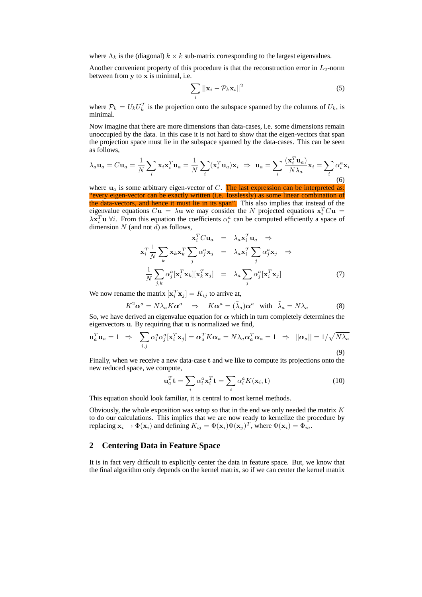where  $\Lambda_k$  is the (diagonal)  $k \times k$  sub-matrix corresponding to the largest eigenvalues.

Another convenient property of this procedure is that the reconstruction error in  $L_2$ -norm between from  $y$  to  $x$  is minimal, i.e.

$$
\sum_{i} ||\mathbf{x}_{i} - \mathcal{P}_{k}\mathbf{x}_{i}||^{2}
$$
 (5)

where  $P_k = U_k U_k^T$  is the projection onto the subspace spanned by the columns of  $U_k$ , is minimal.

Now imagine that there are more dimensions than data-cases, i.e. some dimensions remain unoccupied by the data. In this case it is not hard to show that the eigen-vectors that span the projection space must lie in the subspace spanned by the data-cases. This can be seen as follows,

$$
\lambda_a \mathbf{u}_a = C \mathbf{u}_a = \frac{1}{N} \sum_i \mathbf{x}_i \mathbf{x}_i^T \mathbf{u}_a = \frac{1}{N} \sum_i (\mathbf{x}_i^T \mathbf{u}_a) \mathbf{x}_i \implies \mathbf{u}_a = \sum_i \frac{(\mathbf{x}_i^T \mathbf{u}_a)}{N \lambda_a} \mathbf{x}_i = \sum_i \alpha_i^a \mathbf{x}_i
$$
\n(6)

where  $\mathbf{u}_a$  is some arbitrary eigen-vector of C. The last expression can be interpreted as: "every eigen-vector can be exactly written (i.e. losslessly) as some linear combination of the data-vectors, and hence it must lie in its span". This also implies that instead of the eigenvalue equations  $C\mathbf{u} = \lambda \mathbf{u}$  we may consider the N projected equations  $\mathbf{x}_i^T C \mathbf{u} =$  $\lambda x_i^T$ **u**  $\forall i$ . From this equation the coefficients  $\alpha_i^a$  can be computed efficiently a space of dimension  $N$  (and not  $d$ ) as follows,

$$
\mathbf{x}_{i}^{T} C \mathbf{u}_{a} = \lambda_{a} \mathbf{x}_{i}^{T} \mathbf{u}_{a} \Rightarrow \n\mathbf{x}_{i}^{T} \frac{1}{N} \sum_{k} \mathbf{x}_{k} \mathbf{x}_{k}^{T} \sum_{j} \alpha_{j}^{a} \mathbf{x}_{j} = \lambda_{a} \mathbf{x}_{i}^{T} \sum_{j} \alpha_{j}^{a} \mathbf{x}_{j} \Rightarrow \n\frac{1}{N} \sum_{j,k} \alpha_{j}^{a} [\mathbf{x}_{i}^{T} \mathbf{x}_{k}][\mathbf{x}_{k}^{T} \mathbf{x}_{j}] = \lambda_{a} \sum_{j} \alpha_{j}^{a} [\mathbf{x}_{i}^{T} \mathbf{x}_{j}]
$$
\n(7)

We now rename the matrix  $[\mathbf{x}_i^T \mathbf{x}_j] = K_{ij}$  to arrive at,

$$
K^2 \alpha^a = N \lambda_a K \alpha^a \quad \Rightarrow \quad K \alpha^a = (\tilde{\lambda}_a) \alpha^a \quad \text{with} \quad \tilde{\lambda}_a = N \lambda_a \tag{8}
$$

So, we have derived an eigenvalue equation for  $\alpha$  which in turn completely determines the eigenvectors **u**. By requiring that **u** is normalized we find,

$$
\mathbf{u}_a^T \mathbf{u}_a = 1 \Rightarrow \sum_{i,j} \alpha_i^a \alpha_j^a [\mathbf{x}_i^T \mathbf{x}_j] = \boldsymbol{\alpha}_a^T K \boldsymbol{\alpha}_a = N \lambda_a \boldsymbol{\alpha}_a^T \boldsymbol{\alpha}_a = 1 \Rightarrow ||\boldsymbol{\alpha}_a|| = 1/\sqrt{N \lambda_a}
$$
\n(9)

Finally, when we receive a new data-case t and we like to compute its projections onto the new reduced space, we compute,

$$
\mathbf{u}_a^T \mathbf{t} = \sum_i \alpha_i^a \mathbf{x}_i^T \mathbf{t} = \sum_i \alpha_i^a K(\mathbf{x}_i, \mathbf{t})
$$
(10)

This equation should look familiar, it is central to most kernel methods.

Obviously, the whole exposition was setup so that in the end we only needed the matrix  $K$ to do our calculations. This implies that we are now ready to kernelize the procedure by replacing  $\mathbf{x}_i \to \Phi(\mathbf{x}_i)$  and defining  $K_{ij} = \Phi(\mathbf{x}_i) \Phi(\mathbf{x}_j)^T$ , where  $\Phi(\mathbf{x}_i) = \Phi_{ia}$ .

## **2 Centering Data in Feature Space**

It is in fact very difficult to explicitly center the data in feature space. But, we know that the final algorithm only depends on the kernel matrix, so if we can center the kernel matrix